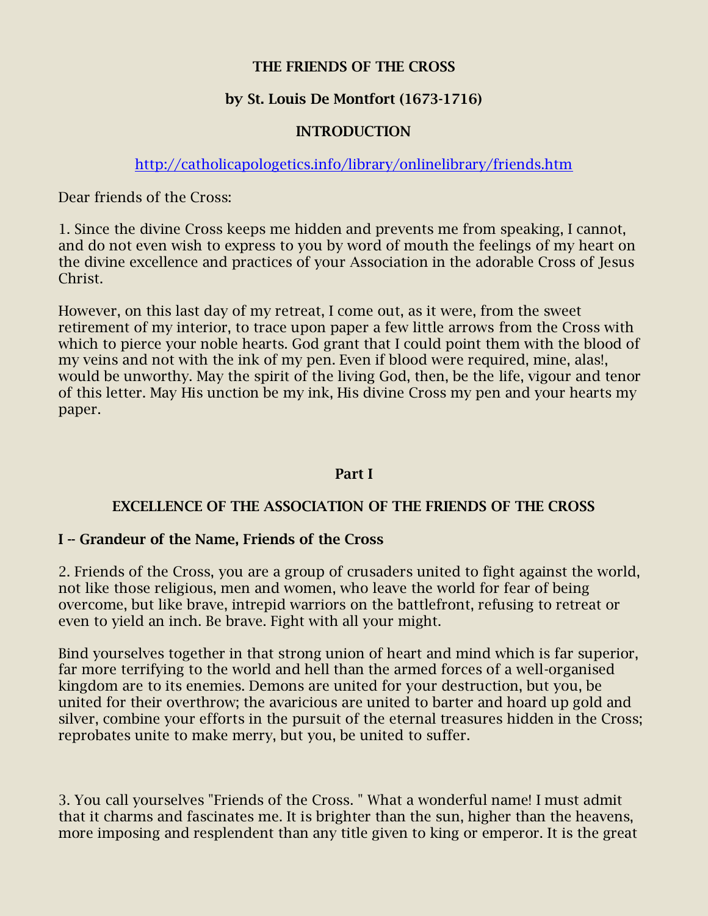### **THE FRIENDS OF THE CROSS**

### **by St. Louis De Montfort (1673-1716)**

#### **INTRODUCTION**

#### <http://catholicapologetics.info/library/onlinelibrary/friends.htm>

Dear friends of the Cross:

1. Since the divine Cross keeps me hidden and prevents me from speaking, I cannot, and do not even wish to express to you by word of mouth the feelings of my heart on the divine excellence and practices of your Association in the adorable Cross of Jesus Christ.

However, on this last day of my retreat, I come out, as it were, from the sweet retirement of my interior, to trace upon paper a few little arrows from the Cross with which to pierce your noble hearts. God grant that I could point them with the blood of my veins and not with the ink of my pen. Even if blood were required, mine, alas!, would be unworthy. May the spirit of the living God, then, be the life, vigour and tenor of this letter. May His unction be my ink, His divine Cross my pen and your hearts my paper.

#### **Part I**

### **EXCELLENCE OF THE ASSOCIATION OF THE FRIENDS OF THE CROSS**

#### **I -- Grandeur of the Name, Friends of the Cross**

2. Friends of the Cross, you are a group of crusaders united to fight against the world, not like those religious, men and women, who leave the world for fear of being overcome, but like brave, intrepid warriors on the battlefront, refusing to retreat or even to yield an inch. Be brave. Fight with all your might.

Bind yourselves together in that strong union of heart and mind which is far superior, far more terrifying to the world and hell than the armed forces of a well-organised kingdom are to its enemies. Demons are united for your destruction, but you, be united for their overthrow; the avaricious are united to barter and hoard up gold and silver, combine your efforts in the pursuit of the eternal treasures hidden in the Cross; reprobates unite to make merry, but you, be united to suffer.

3. You call yourselves "Friends of the Cross. " What a wonderful name! I must admit that it charms and fascinates me. It is brighter than the sun, higher than the heavens, more imposing and resplendent than any title given to king or emperor. It is the great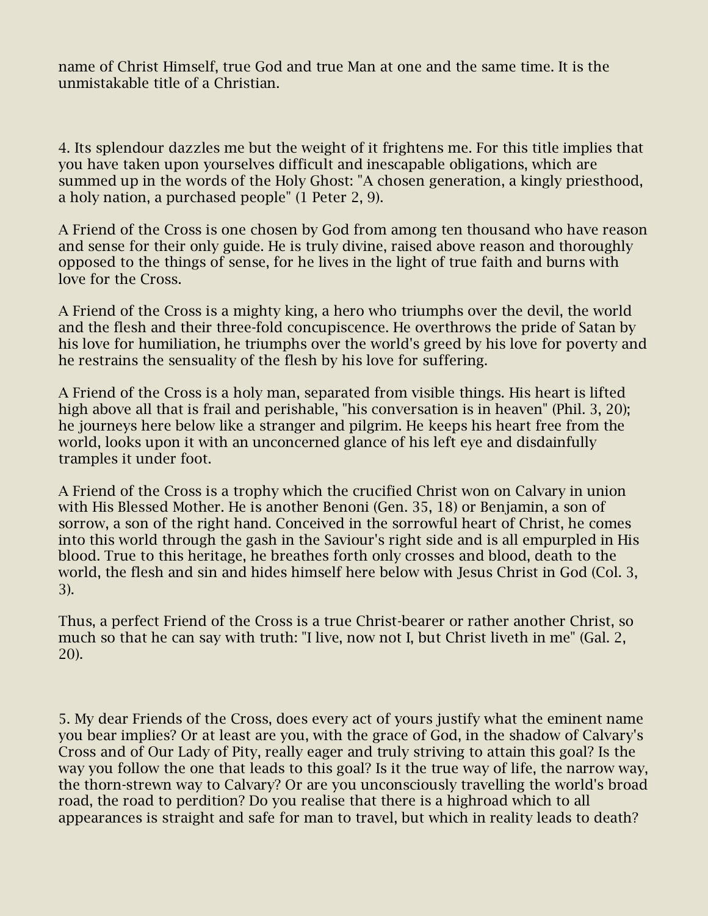name of Christ Himself, true God and true Man at one and the same time. It is the unmistakable title of a Christian.

4. Its splendour dazzles me but the weight of it frightens me. For this title implies that you have taken upon yourselves difficult and inescapable obligations, which are summed up in the words of the Holy Ghost: "A chosen generation, a kingly priesthood, a holy nation, a purchased people" (1 Peter 2, 9).

A Friend of the Cross is one chosen by God from among ten thousand who have reason and sense for their only guide. He is truly divine, raised above reason and thoroughly opposed to the things of sense, for he lives in the light of true faith and burns with love for the Cross.

A Friend of the Cross is a mighty king, a hero who triumphs over the devil, the world and the flesh and their three-fold concupiscence. He overthrows the pride of Satan by his love for humiliation, he triumphs over the world's greed by his love for poverty and he restrains the sensuality of the flesh by his love for suffering.

A Friend of the Cross is a holy man, separated from visible things. His heart is lifted high above all that is frail and perishable, "his conversation is in heaven" (Phil. 3, 20); he journeys here below like a stranger and pilgrim. He keeps his heart free from the world, looks upon it with an unconcerned glance of his left eye and disdainfully tramples it under foot.

A Friend of the Cross is a trophy which the crucified Christ won on Calvary in union with His Blessed Mother. He is another Benoni (Gen. 35, 18) or Benjamin, a son of sorrow, a son of the right hand. Conceived in the sorrowful heart of Christ, he comes into this world through the gash in the Saviour's right side and is all empurpled in His blood. True to this heritage, he breathes forth only crosses and blood, death to the world, the flesh and sin and hides himself here below with Jesus Christ in God (Col. 3, 3).

Thus, a perfect Friend of the Cross is a true Christ-bearer or rather another Christ, so much so that he can say with truth: "I live, now not I, but Christ liveth in me" (Gal. 2, 20).

5. My dear Friends of the Cross, does every act of yours justify what the eminent name you bear implies? Or at least are you, with the grace of God, in the shadow of Calvary's Cross and of Our Lady of Pity, really eager and truly striving to attain this goal? Is the way you follow the one that leads to this goal? Is it the true way of life, the narrow way, the thorn-strewn way to Calvary? Or are you unconsciously travelling the world's broad road, the road to perdition? Do you realise that there is a highroad which to all appearances is straight and safe for man to travel, but which in reality leads to death?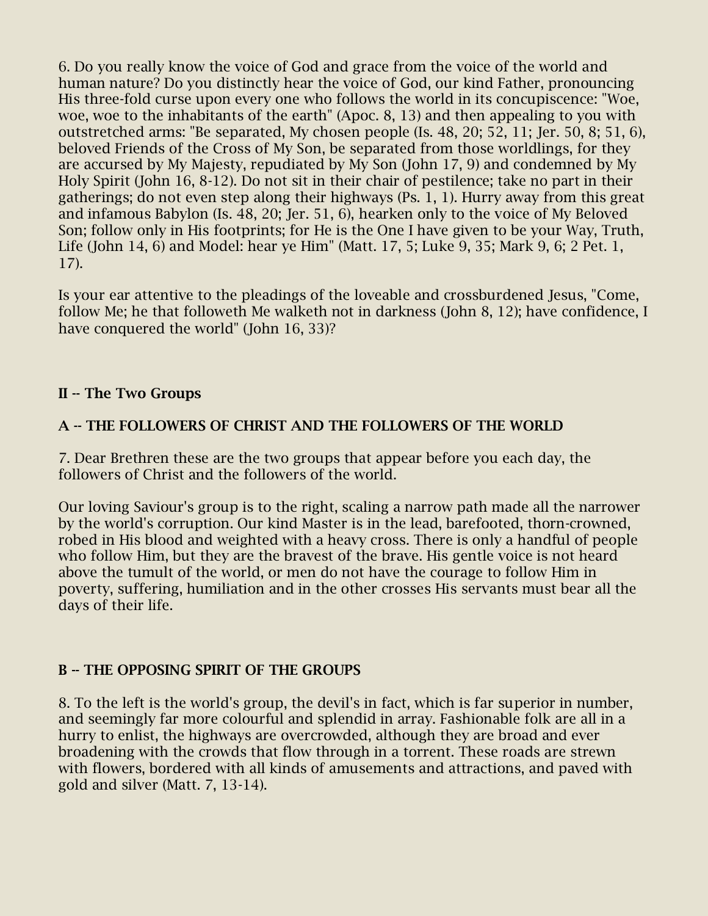6. Do you really know the voice of God and grace from the voice of the world and human nature? Do you distinctly hear the voice of God, our kind Father, pronouncing His three-fold curse upon every one who follows the world in its concupiscence: "Woe, woe, woe to the inhabitants of the earth" (Apoc. 8, 13) and then appealing to you with outstretched arms: "Be separated, My chosen people (Is. 48, 20; 52, 11; Jer. 50, 8; 51, 6), beloved Friends of the Cross of My Son, be separated from those worldlings, for they are accursed by My Majesty, repudiated by My Son (John 17, 9) and condemned by My Holy Spirit (John 16, 8-12). Do not sit in their chair of pestilence; take no part in their gatherings; do not even step along their highways (Ps. 1, 1). Hurry away from this great and infamous Babylon (Is. 48, 20; Jer. 51, 6), hearken only to the voice of My Beloved Son; follow only in His footprints; for He is the One I have given to be your Way, Truth, Life (John 14, 6) and Model: hear ye Him" (Matt. 17, 5; Luke 9, 35; Mark 9, 6; 2 Pet. 1, 17).

Is your ear attentive to the pleadings of the loveable and crossburdened Jesus, "Come, follow Me; he that followeth Me walketh not in darkness (John 8, 12); have confidence, I have conquered the world" (John 16, 33)?

# **II -- The Two Groups**

### **A -- THE FOLLOWERS OF CHRIST AND THE FOLLOWERS OF THE WORLD**

7. Dear Brethren these are the two groups that appear before you each day, the followers of Christ and the followers of the world.

Our loving Saviour's group is to the right, scaling a narrow path made all the narrower by the world's corruption. Our kind Master is in the lead, barefooted, thorn-crowned, robed in His blood and weighted with a heavy cross. There is only a handful of people who follow Him, but they are the bravest of the brave. His gentle voice is not heard above the tumult of the world, or men do not have the courage to follow Him in poverty, suffering, humiliation and in the other crosses His servants must bear all the days of their life.

### **B -- THE OPPOSING SPIRIT OF THE GROUPS**

8. To the left is the world's group, the devil's in fact, which is far superior in number, and seemingly far more colourful and splendid in array. Fashionable folk are all in a hurry to enlist, the highways are overcrowded, although they are broad and ever broadening with the crowds that flow through in a torrent. These roads are strewn with flowers, bordered with all kinds of amusements and attractions, and paved with gold and silver (Matt. 7, 13-14).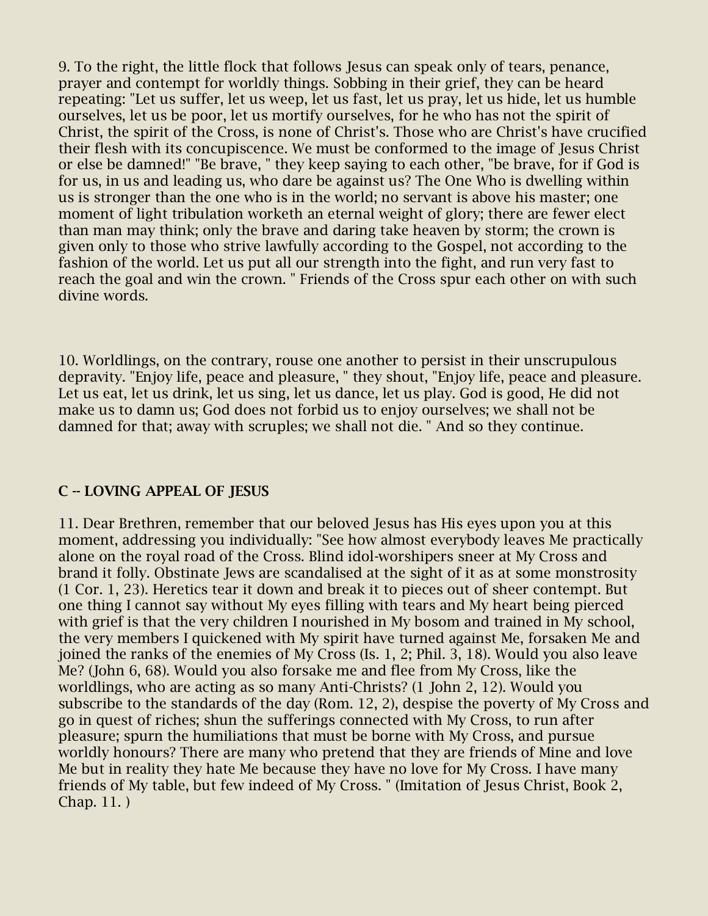9. To the right, the little flock that follows Jesus can speak only of tears, penance, prayer and contempt for worldly things. Sobbing in their grief, they can be heard repeating: "Let us suffer, let us weep, let us fast, let us pray, let us hide, let us humble ourselves, let us be poor, let us mortify ourselves, for he who has not the spirit of Christ, the spirit of the Cross, is none of Christ's. Those who are Christ's have crucified their flesh with its concupiscence. We must be conformed to the image of Jesus Christ or else be damned!" "Be brave, " they keep saying to each other, "be brave, for if God is for us, in us and leading us, who dare be against us? The One Who is dwelling within us is stronger than the one who is in the world; no servant is above his master; one moment of light tribulation worketh an eternal weight of glory; there are fewer elect than man may think; only the brave and daring take heaven by storm; the crown is given only to those who strive lawfully according to the Gospel, not according to the fashion of the world. Let us put all our strength into the fight, and run very fast to reach the goal and win the crown. " Friends of the Cross spur each other on with such divine words.

10. Worldlings, on the contrary, rouse one another to persist in their unscrupulous depravity. "Enjoy life, peace and pleasure, " they shout, "Enjoy life, peace and pleasure. Let us eat, let us drink, let us sing, let us dance, let us play. God is good, He did not make us to damn us; God does not forbid us to enjoy ourselves; we shall not be damned for that; away with scruples; we shall not die. " And so they continue.

# **C -- LOVING APPEAL OF JESUS**

11. Dear Brethren, remember that our beloved Jesus has His eyes upon you at this moment, addressing you individually: "See how almost everybody leaves Me practically alone on the royal road of the Cross. Blind idol-worshipers sneer at My Cross and brand it folly. Obstinate Jews are scandalised at the sight of it as at some monstrosity (1 Cor. 1, 23). Heretics tear it down and break it to pieces out of sheer contempt. But one thing I cannot say without My eyes filling with tears and My heart being pierced with grief is that the very children I nourished in My bosom and trained in My school, the very members I quickened with My spirit have turned against Me, forsaken Me and joined the ranks of the enemies of My Cross (Is. 1, 2; Phil. 3, 18). Would you also leave Me? (John 6, 68). Would you also forsake me and flee from My Cross, like the worldlings, who are acting as so many Anti-Christs? (1 John 2, 12). Would you subscribe to the standards of the day (Rom. 12, 2), despise the poverty of My Cross and go in quest of riches; shun the sufferings connected with My Cross, to run after pleasure; spurn the humiliations that must be borne with My Cross, and pursue worldly honours? There are many who pretend that they are friends of Mine and love Me but in reality they hate Me because they have no love for My Cross. I have many friends of My table, but few indeed of My Cross. " (Imitation of Jesus Christ, Book 2, Chap. 11. )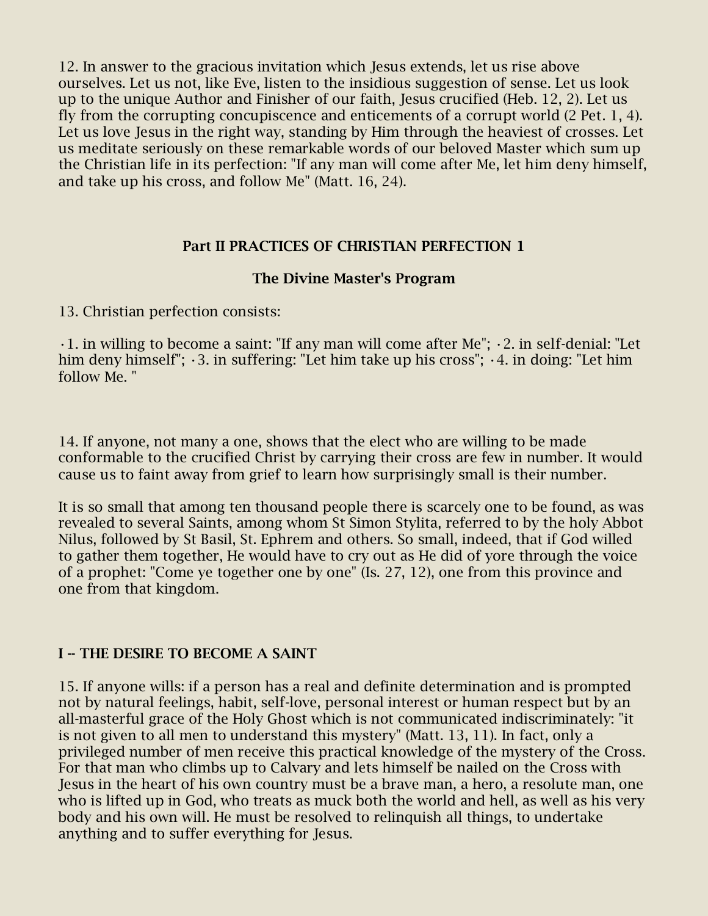12. In answer to the gracious invitation which Jesus extends, let us rise above ourselves. Let us not, like Eve, listen to the insidious suggestion of sense. Let us look up to the unique Author and Finisher of our faith, Jesus crucified (Heb. 12, 2). Let us fly from the corrupting concupiscence and enticements of a corrupt world (2 Pet. 1, 4). Let us love Jesus in the right way, standing by Him through the heaviest of crosses. Let us meditate seriously on these remarkable words of our beloved Master which sum up the Christian life in its perfection: "If any man will come after Me, let him deny himself, and take up his cross, and follow Me" (Matt. 16, 24).

### **Part II PRACTICES OF CHRISTIAN PERFECTION 1**

### **The Divine Master's Program**

13. Christian perfection consists:

 $\cdot$ 1. in willing to become a saint: "If any man will come after Me";  $\cdot$ 2. in self-denial: "Let him deny himself"; •3. in suffering: "Let him take up his cross"; •4. in doing: "Let him follow Me. "

14. If anyone, not many a one, shows that the elect who are willing to be made conformable to the crucified Christ by carrying their cross are few in number. It would cause us to faint away from grief to learn how surprisingly small is their number.

It is so small that among ten thousand people there is scarcely one to be found, as was revealed to several Saints, among whom St Simon Stylita, referred to by the holy Abbot Nilus, followed by St Basil, St. Ephrem and others. So small, indeed, that if God willed to gather them together, He would have to cry out as He did of yore through the voice of a prophet: "Come ye together one by one" (Is. 27, 12), one from this province and one from that kingdom.

### **I -- THE DESIRE TO BECOME A SAINT**

15. If anyone wills: if a person has a real and definite determination and is prompted not by natural feelings, habit, self-love, personal interest or human respect but by an all-masterful grace of the Holy Ghost which is not communicated indiscriminately: "it is not given to all men to understand this mystery" (Matt. 13, 11). In fact, only a privileged number of men receive this practical knowledge of the mystery of the Cross. For that man who climbs up to Calvary and lets himself be nailed on the Cross with Jesus in the heart of his own country must be a brave man, a hero, a resolute man, one who is lifted up in God, who treats as muck both the world and hell, as well as his very body and his own will. He must be resolved to relinquish all things, to undertake anything and to suffer everything for Jesus.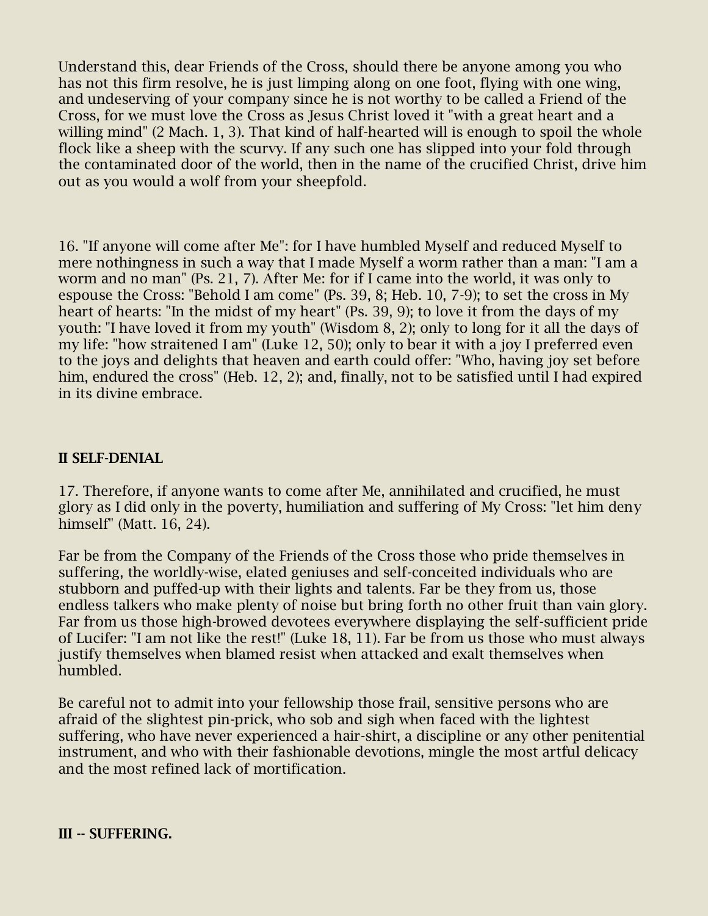Understand this, dear Friends of the Cross, should there be anyone among you who has not this firm resolve, he is just limping along on one foot, flying with one wing, and undeserving of your company since he is not worthy to be called a Friend of the Cross, for we must love the Cross as Jesus Christ loved it "with a great heart and a willing mind" (2 Mach. 1, 3). That kind of half-hearted will is enough to spoil the whole flock like a sheep with the scurvy. If any such one has slipped into your fold through the contaminated door of the world, then in the name of the crucified Christ, drive him out as you would a wolf from your sheepfold.

16. "If anyone will come after Me": for I have humbled Myself and reduced Myself to mere nothingness in such a way that I made Myself a worm rather than a man: "I am a worm and no man" (Ps. 21, 7). After Me: for if I came into the world, it was only to espouse the Cross: "Behold I am come" (Ps. 39, 8; Heb. 10, 7-9); to set the cross in My heart of hearts: "In the midst of my heart" (Ps. 39, 9); to love it from the days of my youth: "I have loved it from my youth" (Wisdom 8, 2); only to long for it all the days of my life: "how straitened I am" (Luke 12, 50); only to bear it with a joy I preferred even to the joys and delights that heaven and earth could offer: "Who, having joy set before him, endured the cross" (Heb. 12, 2); and, finally, not to be satisfied until I had expired in its divine embrace.

# **II SELF-DENIAL**

17. Therefore, if anyone wants to come after Me, annihilated and crucified, he must glory as I did only in the poverty, humiliation and suffering of My Cross: "let him deny himself" (Matt. 16, 24).

Far be from the Company of the Friends of the Cross those who pride themselves in suffering, the worldly-wise, elated geniuses and self-conceited individuals who are stubborn and puffed-up with their lights and talents. Far be they from us, those endless talkers who make plenty of noise but bring forth no other fruit than vain glory. Far from us those high-browed devotees everywhere displaying the self-sufficient pride of Lucifer: "I am not like the rest!" (Luke 18, 11). Far be from us those who must always justify themselves when blamed resist when attacked and exalt themselves when humbled.

Be careful not to admit into your fellowship those frail, sensitive persons who are afraid of the slightest pin-prick, who sob and sigh when faced with the lightest suffering, who have never experienced a hair-shirt, a discipline or any other penitential instrument, and who with their fashionable devotions, mingle the most artful delicacy and the most refined lack of mortification.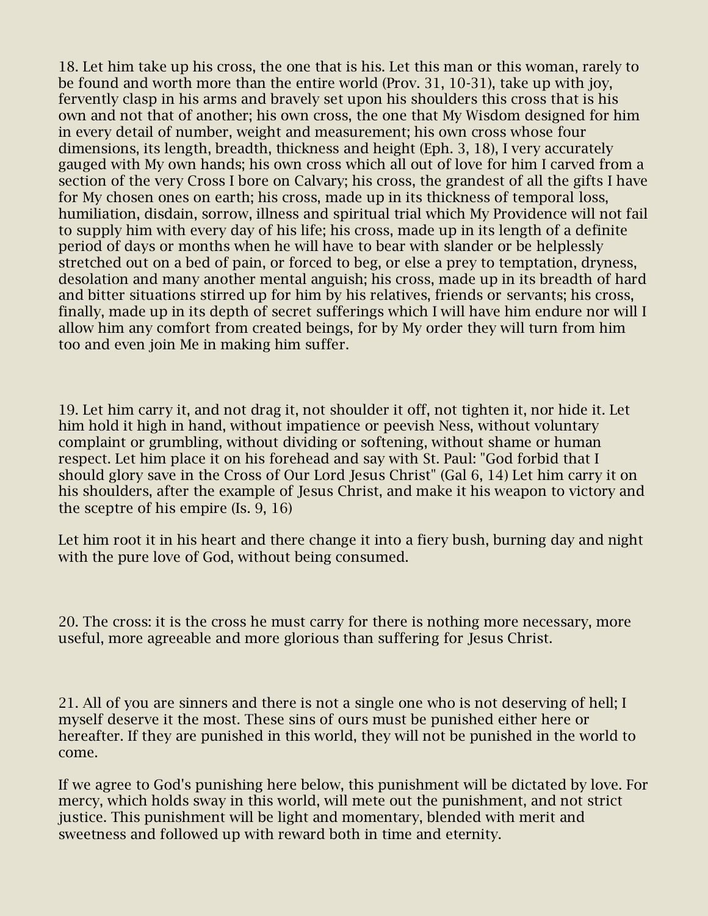18. Let him take up his cross, the one that is his. Let this man or this woman, rarely to be found and worth more than the entire world (Prov. 31, 10-31), take up with joy, fervently clasp in his arms and bravely set upon his shoulders this cross that is his own and not that of another; his own cross, the one that My Wisdom designed for him in every detail of number, weight and measurement; his own cross whose four dimensions, its length, breadth, thickness and height (Eph. 3, 18), I very accurately gauged with My own hands; his own cross which all out of love for him I carved from a section of the very Cross I bore on Calvary; his cross, the grandest of all the gifts I have for My chosen ones on earth; his cross, made up in its thickness of temporal loss, humiliation, disdain, sorrow, illness and spiritual trial which My Providence will not fail to supply him with every day of his life; his cross, made up in its length of a definite period of days or months when he will have to bear with slander or be helplessly stretched out on a bed of pain, or forced to beg, or else a prey to temptation, dryness, desolation and many another mental anguish; his cross, made up in its breadth of hard and bitter situations stirred up for him by his relatives, friends or servants; his cross, finally, made up in its depth of secret sufferings which I will have him endure nor will I allow him any comfort from created beings, for by My order they will turn from him too and even join Me in making him suffer.

19. Let him carry it, and not drag it, not shoulder it off, not tighten it, nor hide it. Let him hold it high in hand, without impatience or peevish Ness, without voluntary complaint or grumbling, without dividing or softening, without shame or human respect. Let him place it on his forehead and say with St. Paul: "God forbid that I should glory save in the Cross of Our Lord Jesus Christ" (Gal 6, 14) Let him carry it on his shoulders, after the example of Jesus Christ, and make it his weapon to victory and the sceptre of his empire (Is. 9, 16)

Let him root it in his heart and there change it into a fiery bush, burning day and night with the pure love of God, without being consumed.

20. The cross: it is the cross he must carry for there is nothing more necessary, more useful, more agreeable and more glorious than suffering for Jesus Christ.

21. All of you are sinners and there is not a single one who is not deserving of hell; I myself deserve it the most. These sins of ours must be punished either here or hereafter. If they are punished in this world, they will not be punished in the world to come.

If we agree to God's punishing here below, this punishment will be dictated by love. For mercy, which holds sway in this world, will mete out the punishment, and not strict justice. This punishment will be light and momentary, blended with merit and sweetness and followed up with reward both in time and eternity.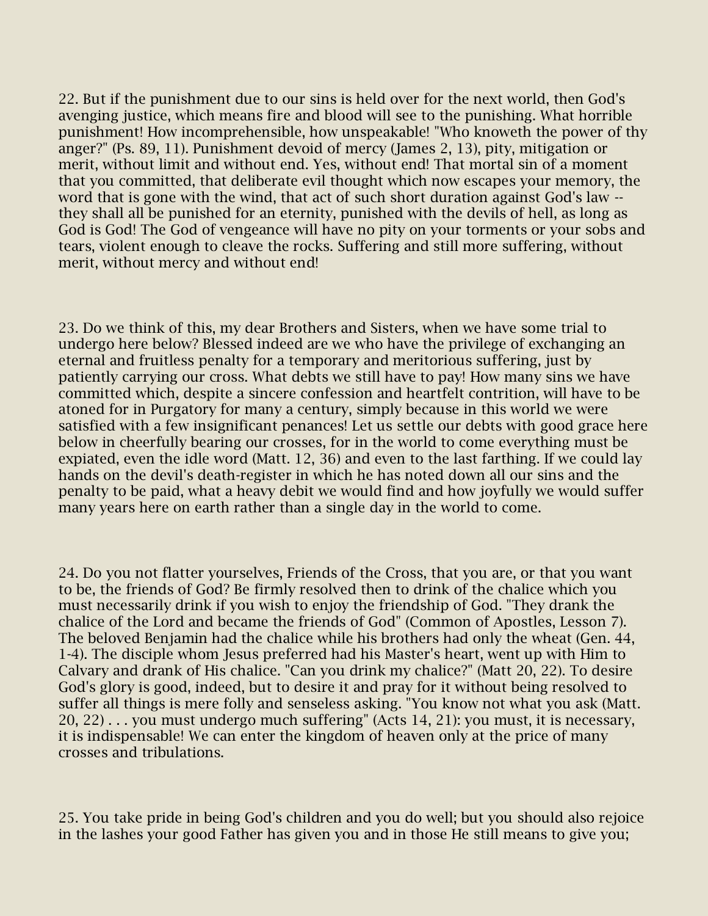22. But if the punishment due to our sins is held over for the next world, then God's avenging justice, which means fire and blood will see to the punishing. What horrible punishment! How incomprehensible, how unspeakable! "Who knoweth the power of thy anger?" (Ps. 89, 11). Punishment devoid of mercy (James 2, 13), pity, mitigation or merit, without limit and without end. Yes, without end! That mortal sin of a moment that you committed, that deliberate evil thought which now escapes your memory, the word that is gone with the wind, that act of such short duration against God's law - they shall all be punished for an eternity, punished with the devils of hell, as long as God is God! The God of vengeance will have no pity on your torments or your sobs and tears, violent enough to cleave the rocks. Suffering and still more suffering, without merit, without mercy and without end!

23. Do we think of this, my dear Brothers and Sisters, when we have some trial to undergo here below? Blessed indeed are we who have the privilege of exchanging an eternal and fruitless penalty for a temporary and meritorious suffering, just by patiently carrying our cross. What debts we still have to pay! How many sins we have committed which, despite a sincere confession and heartfelt contrition, will have to be atoned for in Purgatory for many a century, simply because in this world we were satisfied with a few insignificant penances! Let us settle our debts with good grace here below in cheerfully bearing our crosses, for in the world to come everything must be expiated, even the idle word (Matt. 12, 36) and even to the last farthing. If we could lay hands on the devil's death-register in which he has noted down all our sins and the penalty to be paid, what a heavy debit we would find and how joyfully we would suffer many years here on earth rather than a single day in the world to come.

24. Do you not flatter yourselves, Friends of the Cross, that you are, or that you want to be, the friends of God? Be firmly resolved then to drink of the chalice which you must necessarily drink if you wish to enjoy the friendship of God. "They drank the chalice of the Lord and became the friends of God" (Common of Apostles, Lesson 7). The beloved Benjamin had the chalice while his brothers had only the wheat (Gen. 44, 1-4). The disciple whom Jesus preferred had his Master's heart, went up with Him to Calvary and drank of His chalice. "Can you drink my chalice?" (Matt 20, 22). To desire God's glory is good, indeed, but to desire it and pray for it without being resolved to suffer all things is mere folly and senseless asking. "You know not what you ask (Matt. 20, 22) . . . you must undergo much suffering" (Acts 14, 21): you must, it is necessary, it is indispensable! We can enter the kingdom of heaven only at the price of many crosses and tribulations.

25. You take pride in being God's children and you do well; but you should also rejoice in the lashes your good Father has given you and in those He still means to give you;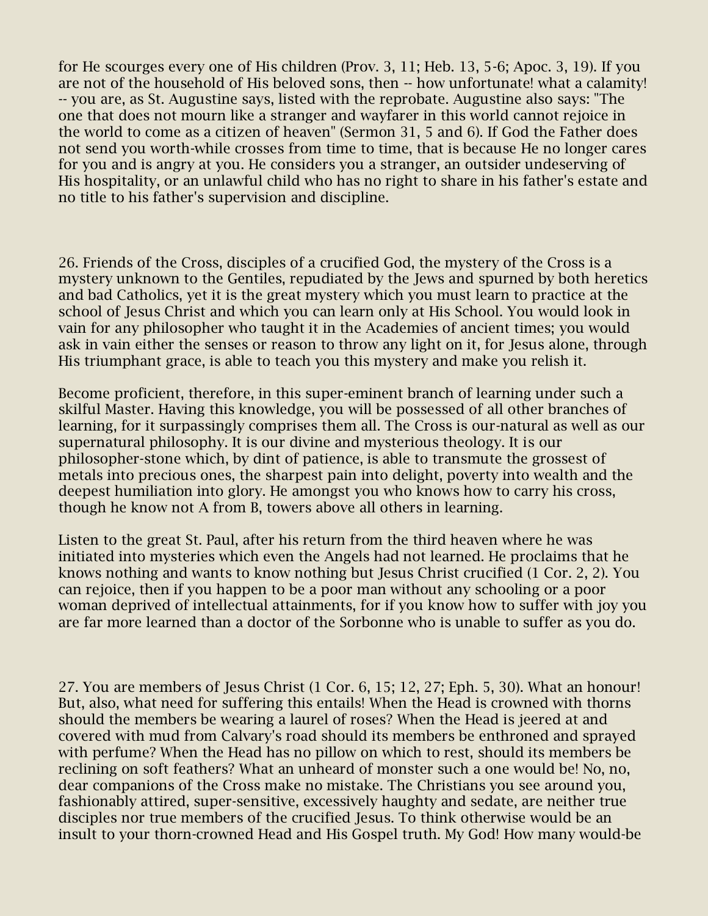for He scourges every one of His children (Prov. 3, 11; Heb. 13, 5-6; Apoc. 3, 19). If you are not of the household of His beloved sons, then -- how unfortunate! what a calamity! -- you are, as St. Augustine says, listed with the reprobate. Augustine also says: "The one that does not mourn like a stranger and wayfarer in this world cannot rejoice in the world to come as a citizen of heaven" (Sermon 31, 5 and 6). If God the Father does not send you worth-while crosses from time to time, that is because He no longer cares for you and is angry at you. He considers you a stranger, an outsider undeserving of His hospitality, or an unlawful child who has no right to share in his father's estate and no title to his father's supervision and discipline.

26. Friends of the Cross, disciples of a crucified God, the mystery of the Cross is a mystery unknown to the Gentiles, repudiated by the Jews and spurned by both heretics and bad Catholics, yet it is the great mystery which you must learn to practice at the school of Jesus Christ and which you can learn only at His School. You would look in vain for any philosopher who taught it in the Academies of ancient times; you would ask in vain either the senses or reason to throw any light on it, for Jesus alone, through His triumphant grace, is able to teach you this mystery and make you relish it.

Become proficient, therefore, in this super-eminent branch of learning under such a skilful Master. Having this knowledge, you will be possessed of all other branches of learning, for it surpassingly comprises them all. The Cross is our-natural as well as our supernatural philosophy. It is our divine and mysterious theology. It is our philosopher-stone which, by dint of patience, is able to transmute the grossest of metals into precious ones, the sharpest pain into delight, poverty into wealth and the deepest humiliation into glory. He amongst you who knows how to carry his cross, though he know not A from B, towers above all others in learning.

Listen to the great St. Paul, after his return from the third heaven where he was initiated into mysteries which even the Angels had not learned. He proclaims that he knows nothing and wants to know nothing but Jesus Christ crucified (1 Cor. 2, 2). You can rejoice, then if you happen to be a poor man without any schooling or a poor woman deprived of intellectual attainments, for if you know how to suffer with joy you are far more learned than a doctor of the Sorbonne who is unable to suffer as you do.

27. You are members of Jesus Christ (1 Cor. 6, 15; 12, 27; Eph. 5, 30). What an honour! But, also, what need for suffering this entails! When the Head is crowned with thorns should the members be wearing a laurel of roses? When the Head is jeered at and covered with mud from Calvary's road should its members be enthroned and sprayed with perfume? When the Head has no pillow on which to rest, should its members be reclining on soft feathers? What an unheard of monster such a one would be! No, no, dear companions of the Cross make no mistake. The Christians you see around you, fashionably attired, super-sensitive, excessively haughty and sedate, are neither true disciples nor true members of the crucified Jesus. To think otherwise would be an insult to your thorn-crowned Head and His Gospel truth. My God! How many would-be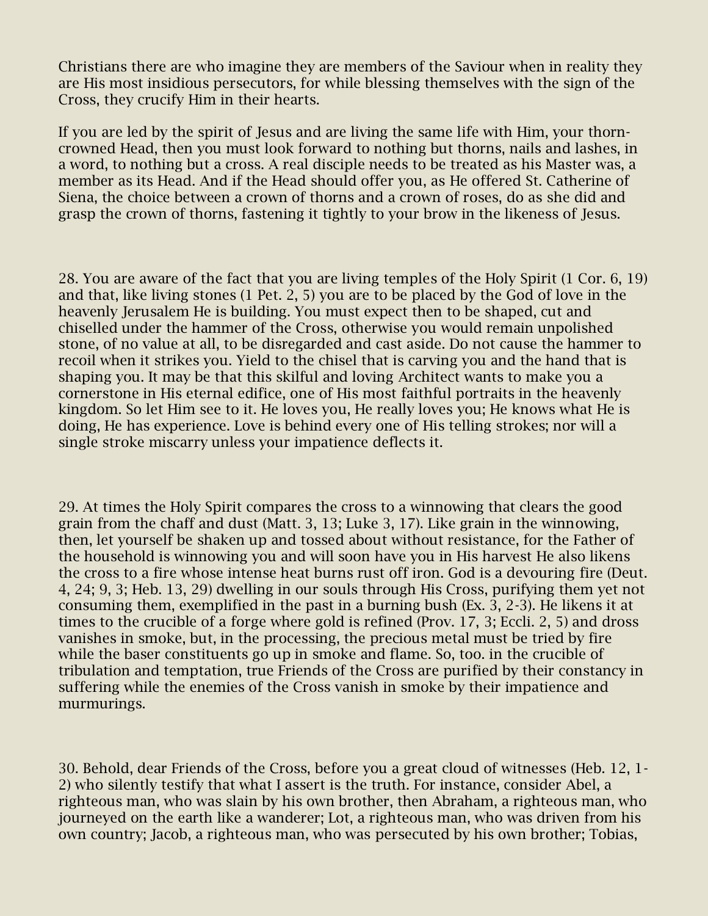Christians there are who imagine they are members of the Saviour when in reality they are His most insidious persecutors, for while blessing themselves with the sign of the Cross, they crucify Him in their hearts.

If you are led by the spirit of Jesus and are living the same life with Him, your thorncrowned Head, then you must look forward to nothing but thorns, nails and lashes, in a word, to nothing but a cross. A real disciple needs to be treated as his Master was, a member as its Head. And if the Head should offer you, as He offered St. Catherine of Siena, the choice between a crown of thorns and a crown of roses, do as she did and grasp the crown of thorns, fastening it tightly to your brow in the likeness of Jesus.

28. You are aware of the fact that you are living temples of the Holy Spirit (1 Cor. 6, 19) and that, like living stones (1 Pet. 2, 5) you are to be placed by the God of love in the heavenly Jerusalem He is building. You must expect then to be shaped, cut and chiselled under the hammer of the Cross, otherwise you would remain unpolished stone, of no value at all, to be disregarded and cast aside. Do not cause the hammer to recoil when it strikes you. Yield to the chisel that is carving you and the hand that is shaping you. It may be that this skilful and loving Architect wants to make you a cornerstone in His eternal edifice, one of His most faithful portraits in the heavenly kingdom. So let Him see to it. He loves you, He really loves you; He knows what He is doing, He has experience. Love is behind every one of His telling strokes; nor will a single stroke miscarry unless your impatience deflects it.

29. At times the Holy Spirit compares the cross to a winnowing that clears the good grain from the chaff and dust (Matt. 3, 13; Luke 3, 17). Like grain in the winnowing, then, let yourself be shaken up and tossed about without resistance, for the Father of the household is winnowing you and will soon have you in His harvest He also likens the cross to a fire whose intense heat burns rust off iron. God is a devouring fire (Deut. 4, 24; 9, 3; Heb. 13, 29) dwelling in our souls through His Cross, purifying them yet not consuming them, exemplified in the past in a burning bush (Ex. 3, 2-3). He likens it at times to the crucible of a forge where gold is refined (Prov. 17, 3; Eccli. 2, 5) and dross vanishes in smoke, but, in the processing, the precious metal must be tried by fire while the baser constituents go up in smoke and flame. So, too. in the crucible of tribulation and temptation, true Friends of the Cross are purified by their constancy in suffering while the enemies of the Cross vanish in smoke by their impatience and murmurings.

30. Behold, dear Friends of the Cross, before you a great cloud of witnesses (Heb. 12, 1- 2) who silently testify that what I assert is the truth. For instance, consider Abel, a righteous man, who was slain by his own brother, then Abraham, a righteous man, who journeyed on the earth like a wanderer; Lot, a righteous man, who was driven from his own country; Jacob, a righteous man, who was persecuted by his own brother; Tobias,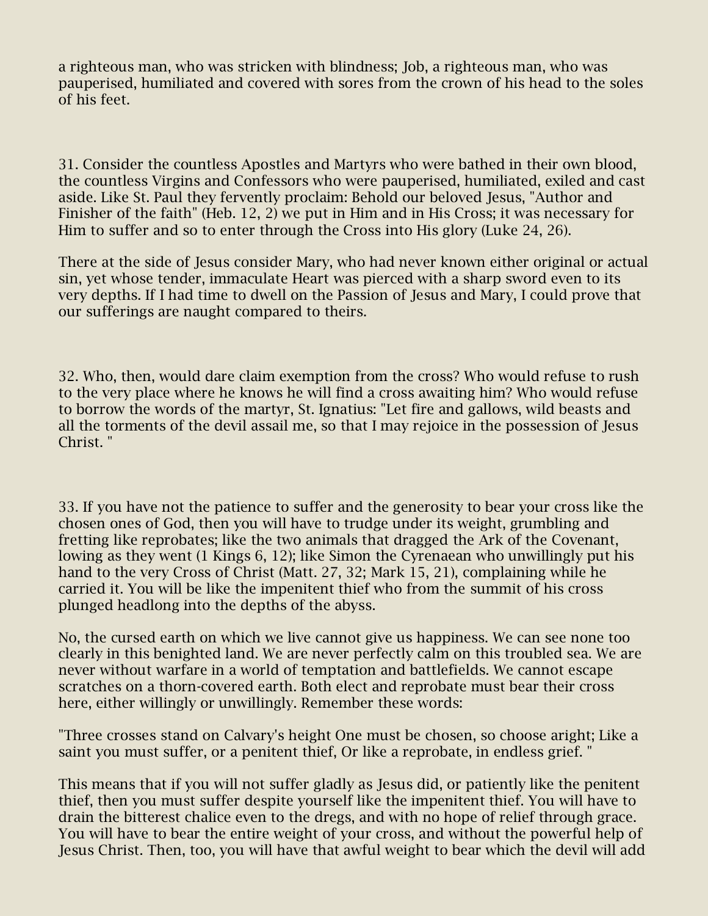a righteous man, who was stricken with blindness; Job, a righteous man, who was pauperised, humiliated and covered with sores from the crown of his head to the soles of his feet.

31. Consider the countless Apostles and Martyrs who were bathed in their own blood, the countless Virgins and Confessors who were pauperised, humiliated, exiled and cast aside. Like St. Paul they fervently proclaim: Behold our beloved Jesus, "Author and Finisher of the faith" (Heb. 12, 2) we put in Him and in His Cross; it was necessary for Him to suffer and so to enter through the Cross into His glory (Luke 24, 26).

There at the side of Jesus consider Mary, who had never known either original or actual sin, yet whose tender, immaculate Heart was pierced with a sharp sword even to its very depths. If I had time to dwell on the Passion of Jesus and Mary, I could prove that our sufferings are naught compared to theirs.

32. Who, then, would dare claim exemption from the cross? Who would refuse to rush to the very place where he knows he will find a cross awaiting him? Who would refuse to borrow the words of the martyr, St. Ignatius: "Let fire and gallows, wild beasts and all the torments of the devil assail me, so that I may rejoice in the possession of Jesus Christ. "

33. If you have not the patience to suffer and the generosity to bear your cross like the chosen ones of God, then you will have to trudge under its weight, grumbling and fretting like reprobates; like the two animals that dragged the Ark of the Covenant, lowing as they went (1 Kings 6, 12); like Simon the Cyrenaean who unwillingly put his hand to the very Cross of Christ (Matt. 27, 32; Mark 15, 21), complaining while he carried it. You will be like the impenitent thief who from the summit of his cross plunged headlong into the depths of the abyss.

No, the cursed earth on which we live cannot give us happiness. We can see none too clearly in this benighted land. We are never perfectly calm on this troubled sea. We are never without warfare in a world of temptation and battlefields. We cannot escape scratches on a thorn-covered earth. Both elect and reprobate must bear their cross here, either willingly or unwillingly. Remember these words:

"Three crosses stand on Calvary's height One must be chosen, so choose aright; Like a saint you must suffer, or a penitent thief, Or like a reprobate, in endless grief. "

This means that if you will not suffer gladly as Jesus did, or patiently like the penitent thief, then you must suffer despite yourself like the impenitent thief. You will have to drain the bitterest chalice even to the dregs, and with no hope of relief through grace. You will have to bear the entire weight of your cross, and without the powerful help of Jesus Christ. Then, too, you will have that awful weight to bear which the devil will add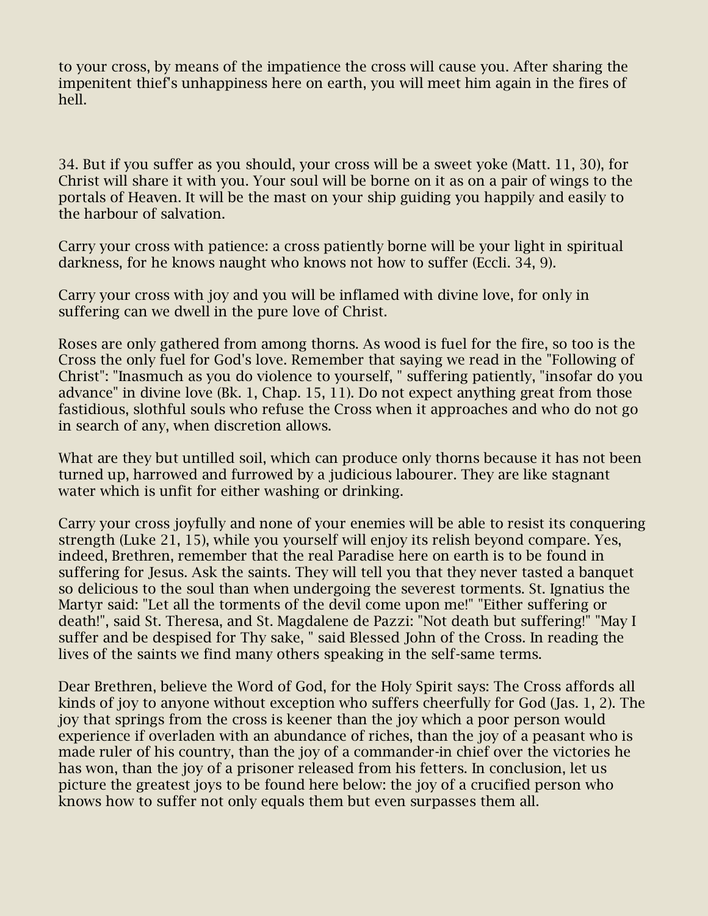to your cross, by means of the impatience the cross will cause you. After sharing the impenitent thief's unhappiness here on earth, you will meet him again in the fires of hell.

34. But if you suffer as you should, your cross will be a sweet yoke (Matt. 11, 30), for Christ will share it with you. Your soul will be borne on it as on a pair of wings to the portals of Heaven. It will be the mast on your ship guiding you happily and easily to the harbour of salvation.

Carry your cross with patience: a cross patiently borne will be your light in spiritual darkness, for he knows naught who knows not how to suffer (Eccli. 34, 9).

Carry your cross with joy and you will be inflamed with divine love, for only in suffering can we dwell in the pure love of Christ.

Roses are only gathered from among thorns. As wood is fuel for the fire, so too is the Cross the only fuel for God's love. Remember that saying we read in the "Following of Christ": "Inasmuch as you do violence to yourself, " suffering patiently, "insofar do you advance" in divine love (Bk. 1, Chap. 15, 11). Do not expect anything great from those fastidious, slothful souls who refuse the Cross when it approaches and who do not go in search of any, when discretion allows.

What are they but untilled soil, which can produce only thorns because it has not been turned up, harrowed and furrowed by a judicious labourer. They are like stagnant water which is unfit for either washing or drinking.

Carry your cross joyfully and none of your enemies will be able to resist its conquering strength (Luke 21, 15), while you yourself will enjoy its relish beyond compare. Yes, indeed, Brethren, remember that the real Paradise here on earth is to be found in suffering for Jesus. Ask the saints. They will tell you that they never tasted a banquet so delicious to the soul than when undergoing the severest torments. St. Ignatius the Martyr said: "Let all the torments of the devil come upon me!" "Either suffering or death!", said St. Theresa, and St. Magdalene de Pazzi: "Not death but suffering!" "May I suffer and be despised for Thy sake, " said Blessed John of the Cross. In reading the lives of the saints we find many others speaking in the self-same terms.

Dear Brethren, believe the Word of God, for the Holy Spirit says: The Cross affords all kinds of joy to anyone without exception who suffers cheerfully for God (Jas. 1, 2). The joy that springs from the cross is keener than the joy which a poor person would experience if overladen with an abundance of riches, than the joy of a peasant who is made ruler of his country, than the joy of a commander-in chief over the victories he has won, than the joy of a prisoner released from his fetters. In conclusion, let us picture the greatest joys to be found here below: the joy of a crucified person who knows how to suffer not only equals them but even surpasses them all.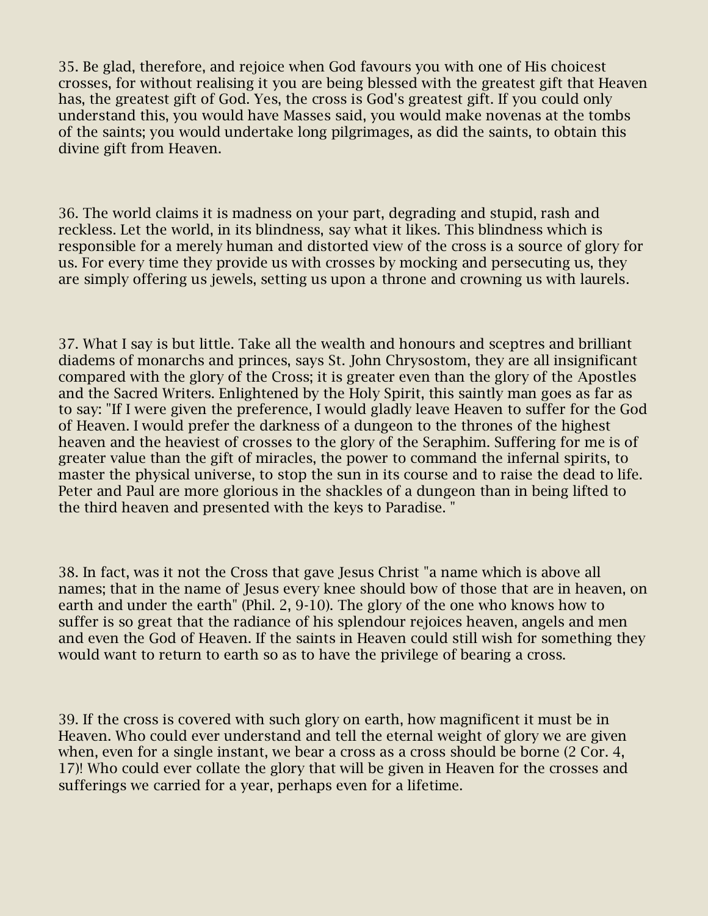35. Be glad, therefore, and rejoice when God favours you with one of His choicest crosses, for without realising it you are being blessed with the greatest gift that Heaven has, the greatest gift of God. Yes, the cross is God's greatest gift. If you could only understand this, you would have Masses said, you would make novenas at the tombs of the saints; you would undertake long pilgrimages, as did the saints, to obtain this divine gift from Heaven.

36. The world claims it is madness on your part, degrading and stupid, rash and reckless. Let the world, in its blindness, say what it likes. This blindness which is responsible for a merely human and distorted view of the cross is a source of glory for us. For every time they provide us with crosses by mocking and persecuting us, they are simply offering us jewels, setting us upon a throne and crowning us with laurels.

37. What I say is but little. Take all the wealth and honours and sceptres and brilliant diadems of monarchs and princes, says St. John Chrysostom, they are all insignificant compared with the glory of the Cross; it is greater even than the glory of the Apostles and the Sacred Writers. Enlightened by the Holy Spirit, this saintly man goes as far as to say: "If I were given the preference, I would gladly leave Heaven to suffer for the God of Heaven. I would prefer the darkness of a dungeon to the thrones of the highest heaven and the heaviest of crosses to the glory of the Seraphim. Suffering for me is of greater value than the gift of miracles, the power to command the infernal spirits, to master the physical universe, to stop the sun in its course and to raise the dead to life. Peter and Paul are more glorious in the shackles of a dungeon than in being lifted to the third heaven and presented with the keys to Paradise. "

38. In fact, was it not the Cross that gave Jesus Christ "a name which is above all names; that in the name of Jesus every knee should bow of those that are in heaven, on earth and under the earth" (Phil. 2, 9-10). The glory of the one who knows how to suffer is so great that the radiance of his splendour rejoices heaven, angels and men and even the God of Heaven. If the saints in Heaven could still wish for something they would want to return to earth so as to have the privilege of bearing a cross.

39. If the cross is covered with such glory on earth, how magnificent it must be in Heaven. Who could ever understand and tell the eternal weight of glory we are given when, even for a single instant, we bear a cross as a cross should be borne (2 Cor. 4, 17)! Who could ever collate the glory that will be given in Heaven for the crosses and sufferings we carried for a year, perhaps even for a lifetime.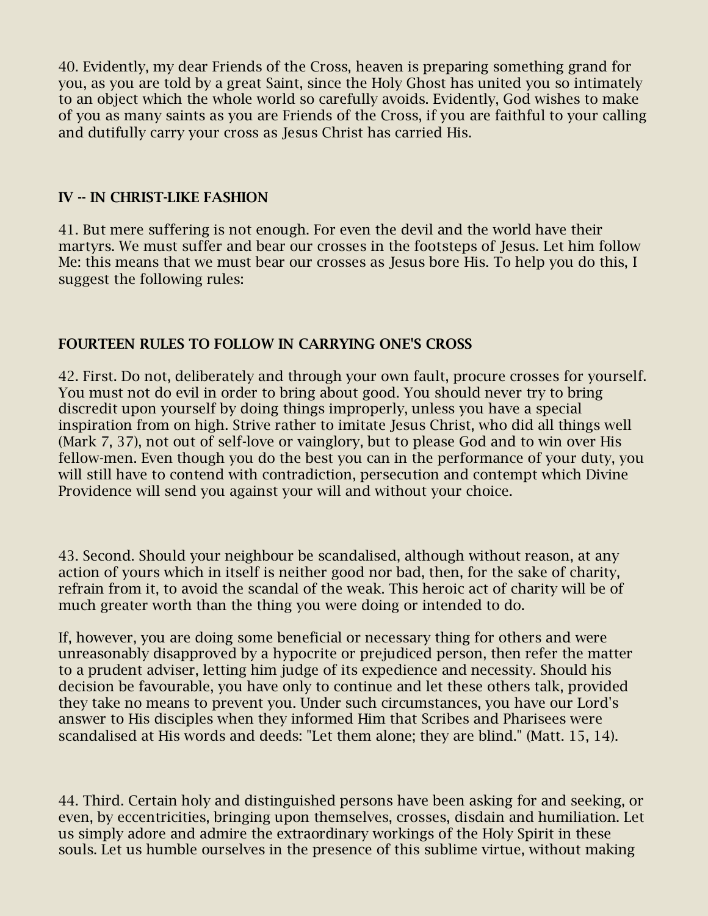40. Evidently, my dear Friends of the Cross, heaven is preparing something grand for you, as you are told by a great Saint, since the Holy Ghost has united you so intimately to an object which the whole world so carefully avoids. Evidently, God wishes to make of you as many saints as you are Friends of the Cross, if you are faithful to your calling and dutifully carry your cross as Jesus Christ has carried His.

### **IV -- IN CHRIST-LIKE FASHION**

41. But mere suffering is not enough. For even the devil and the world have their martyrs. We must suffer and bear our crosses in the footsteps of Jesus. Let him follow Me: this means that we must bear our crosses as Jesus bore His. To help you do this, I suggest the following rules:

# **FOURTEEN RULES TO FOLLOW IN CARRYING ONE'S CROSS**

42. First. Do not, deliberately and through your own fault, procure crosses for yourself. You must not do evil in order to bring about good. You should never try to bring discredit upon yourself by doing things improperly, unless you have a special inspiration from on high. Strive rather to imitate Jesus Christ, who did all things well (Mark 7, 37), not out of self-love or vainglory, but to please God and to win over His fellow-men. Even though you do the best you can in the performance of your duty, you will still have to contend with contradiction, persecution and contempt which Divine Providence will send you against your will and without your choice.

43. Second. Should your neighbour be scandalised, although without reason, at any action of yours which in itself is neither good nor bad, then, for the sake of charity, refrain from it, to avoid the scandal of the weak. This heroic act of charity will be of much greater worth than the thing you were doing or intended to do.

If, however, you are doing some beneficial or necessary thing for others and were unreasonably disapproved by a hypocrite or prejudiced person, then refer the matter to a prudent adviser, letting him judge of its expedience and necessity. Should his decision be favourable, you have only to continue and let these others talk, provided they take no means to prevent you. Under such circumstances, you have our Lord's answer to His disciples when they informed Him that Scribes and Pharisees were scandalised at His words and deeds: "Let them alone; they are blind." (Matt. 15, 14).

44. Third. Certain holy and distinguished persons have been asking for and seeking, or even, by eccentricities, bringing upon themselves, crosses, disdain and humiliation. Let us simply adore and admire the extraordinary workings of the Holy Spirit in these souls. Let us humble ourselves in the presence of this sublime virtue, without making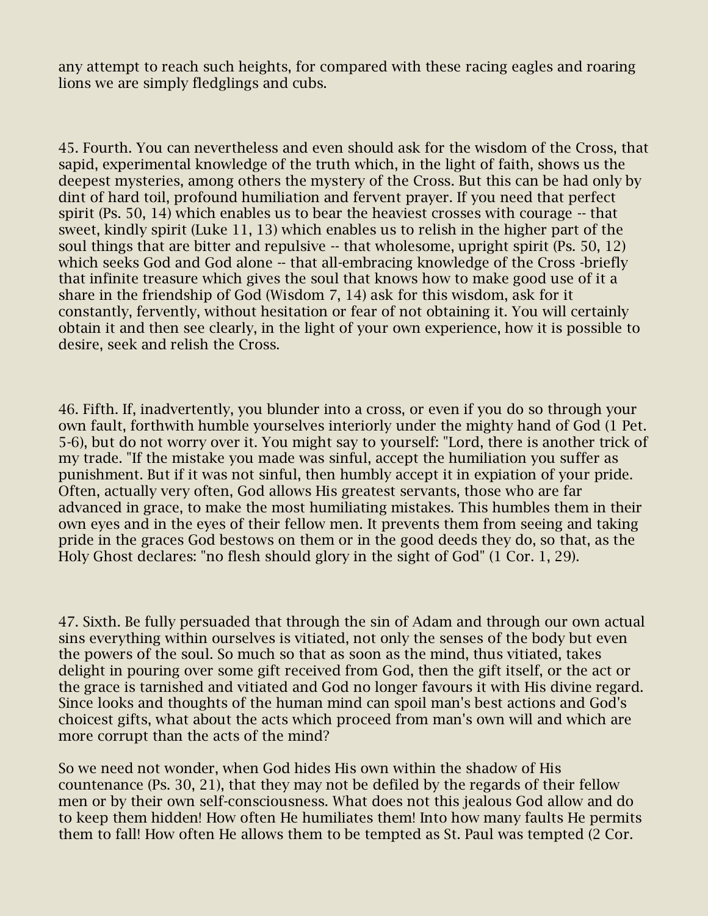any attempt to reach such heights, for compared with these racing eagles and roaring lions we are simply fledglings and cubs.

45. Fourth. You can nevertheless and even should ask for the wisdom of the Cross, that sapid, experimental knowledge of the truth which, in the light of faith, shows us the deepest mysteries, among others the mystery of the Cross. But this can be had only by dint of hard toil, profound humiliation and fervent prayer. If you need that perfect spirit (Ps. 50, 14) which enables us to bear the heaviest crosses with courage -- that sweet, kindly spirit (Luke 11, 13) which enables us to relish in the higher part of the soul things that are bitter and repulsive -- that wholesome, upright spirit (Ps. 50, 12) which seeks God and God alone -- that all-embracing knowledge of the Cross -briefly that infinite treasure which gives the soul that knows how to make good use of it a share in the friendship of God (Wisdom 7, 14) ask for this wisdom, ask for it constantly, fervently, without hesitation or fear of not obtaining it. You will certainly obtain it and then see clearly, in the light of your own experience, how it is possible to desire, seek and relish the Cross.

46. Fifth. If, inadvertently, you blunder into a cross, or even if you do so through your own fault, forthwith humble yourselves interiorly under the mighty hand of God (1 Pet. 5-6), but do not worry over it. You might say to yourself: "Lord, there is another trick of my trade. "If the mistake you made was sinful, accept the humiliation you suffer as punishment. But if it was not sinful, then humbly accept it in expiation of your pride. Often, actually very often, God allows His greatest servants, those who are far advanced in grace, to make the most humiliating mistakes. This humbles them in their own eyes and in the eyes of their fellow men. It prevents them from seeing and taking pride in the graces God bestows on them or in the good deeds they do, so that, as the Holy Ghost declares: "no flesh should glory in the sight of God" (1 Cor. 1, 29).

47. Sixth. Be fully persuaded that through the sin of Adam and through our own actual sins everything within ourselves is vitiated, not only the senses of the body but even the powers of the soul. So much so that as soon as the mind, thus vitiated, takes delight in pouring over some gift received from God, then the gift itself, or the act or the grace is tarnished and vitiated and God no longer favours it with His divine regard. Since looks and thoughts of the human mind can spoil man's best actions and God's choicest gifts, what about the acts which proceed from man's own will and which are more corrupt than the acts of the mind?

So we need not wonder, when God hides His own within the shadow of His countenance (Ps. 30, 21), that they may not be defiled by the regards of their fellow men or by their own self-consciousness. What does not this jealous God allow and do to keep them hidden! How often He humiliates them! Into how many faults He permits them to fall! How often He allows them to be tempted as St. Paul was tempted (2 Cor.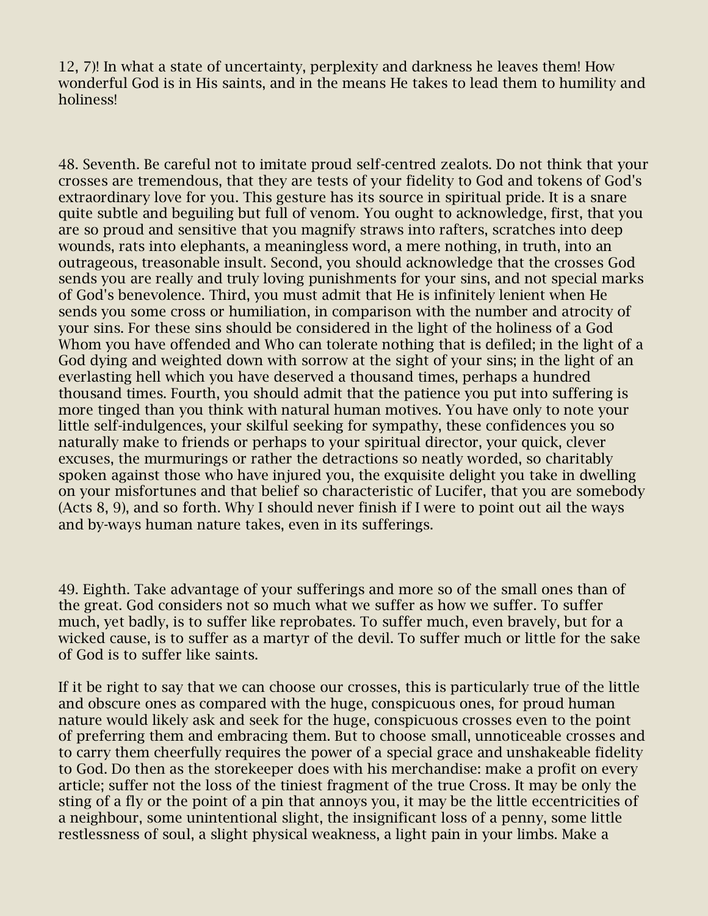12, 7)! In what a state of uncertainty, perplexity and darkness he leaves them! How wonderful God is in His saints, and in the means He takes to lead them to humility and holiness!

48. Seventh. Be careful not to imitate proud self-centred zealots. Do not think that your crosses are tremendous, that they are tests of your fidelity to God and tokens of God's extraordinary love for you. This gesture has its source in spiritual pride. It is a snare quite subtle and beguiling but full of venom. You ought to acknowledge, first, that you are so proud and sensitive that you magnify straws into rafters, scratches into deep wounds, rats into elephants, a meaningless word, a mere nothing, in truth, into an outrageous, treasonable insult. Second, you should acknowledge that the crosses God sends you are really and truly loving punishments for your sins, and not special marks of God's benevolence. Third, you must admit that He is infinitely lenient when He sends you some cross or humiliation, in comparison with the number and atrocity of your sins. For these sins should be considered in the light of the holiness of a God Whom you have offended and Who can tolerate nothing that is defiled; in the light of a God dying and weighted down with sorrow at the sight of your sins; in the light of an everlasting hell which you have deserved a thousand times, perhaps a hundred thousand times. Fourth, you should admit that the patience you put into suffering is more tinged than you think with natural human motives. You have only to note your little self-indulgences, your skilful seeking for sympathy, these confidences you so naturally make to friends or perhaps to your spiritual director, your quick, clever excuses, the murmurings or rather the detractions so neatly worded, so charitably spoken against those who have injured you, the exquisite delight you take in dwelling on your misfortunes and that belief so characteristic of Lucifer, that you are somebody (Acts 8, 9), and so forth. Why I should never finish if I were to point out ail the ways and by-ways human nature takes, even in its sufferings.

49. Eighth. Take advantage of your sufferings and more so of the small ones than of the great. God considers not so much what we suffer as how we suffer. To suffer much, yet badly, is to suffer like reprobates. To suffer much, even bravely, but for a wicked cause, is to suffer as a martyr of the devil. To suffer much or little for the sake of God is to suffer like saints.

If it be right to say that we can choose our crosses, this is particularly true of the little and obscure ones as compared with the huge, conspicuous ones, for proud human nature would likely ask and seek for the huge, conspicuous crosses even to the point of preferring them and embracing them. But to choose small, unnoticeable crosses and to carry them cheerfully requires the power of a special grace and unshakeable fidelity to God. Do then as the storekeeper does with his merchandise: make a profit on every article; suffer not the loss of the tiniest fragment of the true Cross. It may be only the sting of a fly or the point of a pin that annoys you, it may be the little eccentricities of a neighbour, some unintentional slight, the insignificant loss of a penny, some little restlessness of soul, a slight physical weakness, a light pain in your limbs. Make a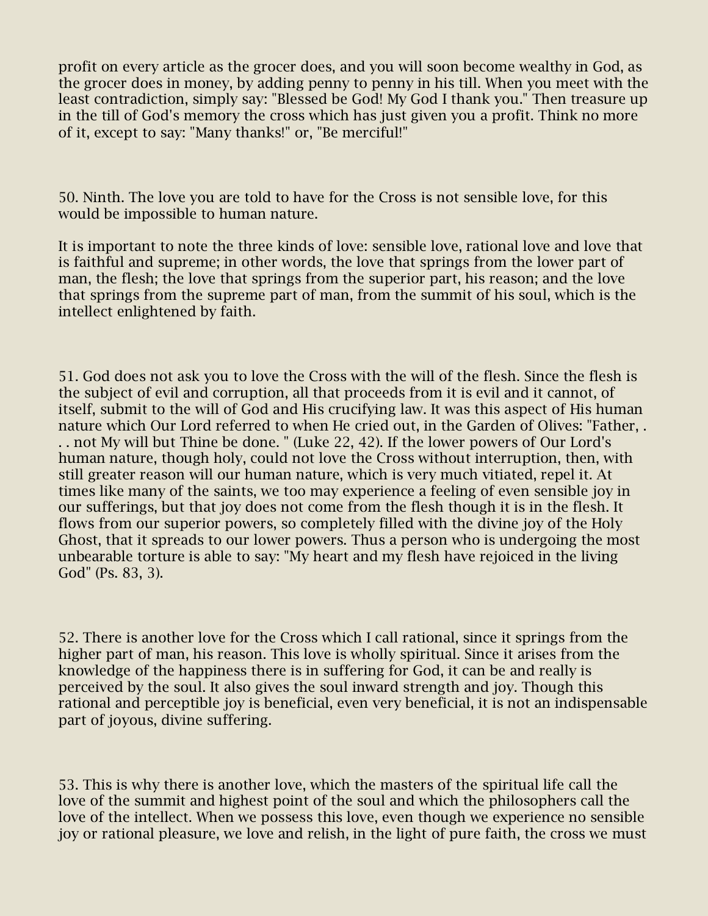profit on every article as the grocer does, and you will soon become wealthy in God, as the grocer does in money, by adding penny to penny in his till. When you meet with the least contradiction, simply say: "Blessed be God! My God I thank you." Then treasure up in the till of God's memory the cross which has just given you a profit. Think no more of it, except to say: "Many thanks!" or, "Be merciful!"

50. Ninth. The love you are told to have for the Cross is not sensible love, for this would be impossible to human nature.

It is important to note the three kinds of love: sensible love, rational love and love that is faithful and supreme; in other words, the love that springs from the lower part of man, the flesh; the love that springs from the superior part, his reason; and the love that springs from the supreme part of man, from the summit of his soul, which is the intellect enlightened by faith.

51. God does not ask you to love the Cross with the will of the flesh. Since the flesh is the subject of evil and corruption, all that proceeds from it is evil and it cannot, of itself, submit to the will of God and His crucifying law. It was this aspect of His human nature which Our Lord referred to when He cried out, in the Garden of Olives: "Father, . . . not My will but Thine be done. " (Luke 22, 42). If the lower powers of Our Lord's human nature, though holy, could not love the Cross without interruption, then, with still greater reason will our human nature, which is very much vitiated, repel it. At times like many of the saints, we too may experience a feeling of even sensible joy in our sufferings, but that joy does not come from the flesh though it is in the flesh. It flows from our superior powers, so completely filled with the divine joy of the Holy Ghost, that it spreads to our lower powers. Thus a person who is undergoing the most unbearable torture is able to say: "My heart and my flesh have rejoiced in the living God" (Ps. 83, 3).

52. There is another love for the Cross which I call rational, since it springs from the higher part of man, his reason. This love is wholly spiritual. Since it arises from the knowledge of the happiness there is in suffering for God, it can be and really is perceived by the soul. It also gives the soul inward strength and joy. Though this rational and perceptible joy is beneficial, even very beneficial, it is not an indispensable part of joyous, divine suffering.

53. This is why there is another love, which the masters of the spiritual life call the love of the summit and highest point of the soul and which the philosophers call the love of the intellect. When we possess this love, even though we experience no sensible joy or rational pleasure, we love and relish, in the light of pure faith, the cross we must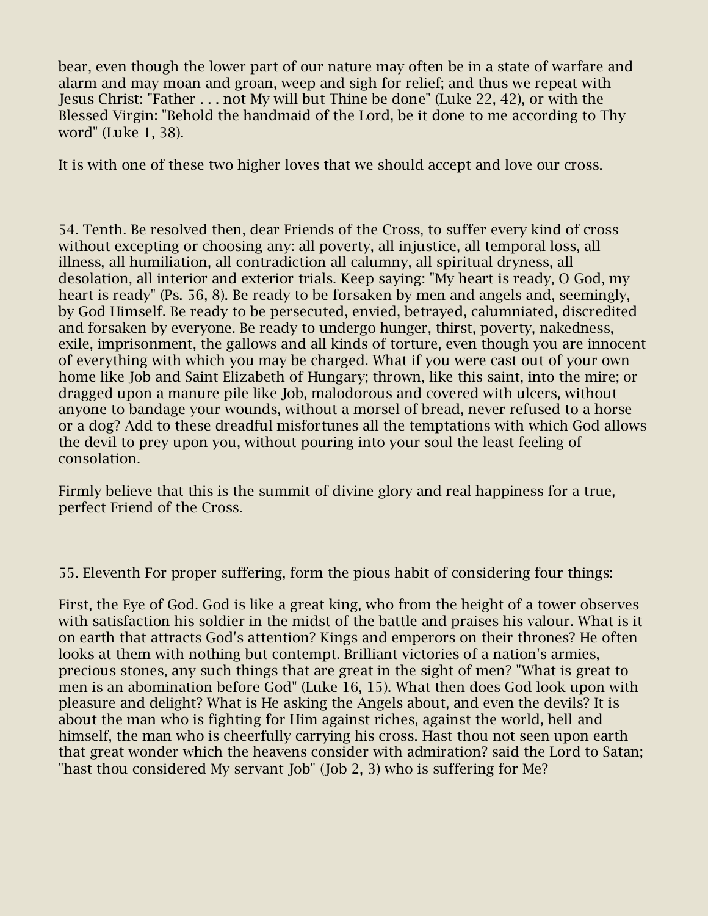bear, even though the lower part of our nature may often be in a state of warfare and alarm and may moan and groan, weep and sigh for relief; and thus we repeat with Jesus Christ: "Father . . . not My will but Thine be done" (Luke 22, 42), or with the Blessed Virgin: "Behold the handmaid of the Lord, be it done to me according to Thy word" (Luke 1, 38).

It is with one of these two higher loves that we should accept and love our cross.

54. Tenth. Be resolved then, dear Friends of the Cross, to suffer every kind of cross without excepting or choosing any: all poverty, all injustice, all temporal loss, all illness, all humiliation, all contradiction all calumny, all spiritual dryness, all desolation, all interior and exterior trials. Keep saying: "My heart is ready, O God, my heart is ready" (Ps. 56, 8). Be ready to be forsaken by men and angels and, seemingly, by God Himself. Be ready to be persecuted, envied, betrayed, calumniated, discredited and forsaken by everyone. Be ready to undergo hunger, thirst, poverty, nakedness, exile, imprisonment, the gallows and all kinds of torture, even though you are innocent of everything with which you may be charged. What if you were cast out of your own home like Job and Saint Elizabeth of Hungary; thrown, like this saint, into the mire; or dragged upon a manure pile like Job, malodorous and covered with ulcers, without anyone to bandage your wounds, without a morsel of bread, never refused to a horse or a dog? Add to these dreadful misfortunes all the temptations with which God allows the devil to prey upon you, without pouring into your soul the least feeling of consolation.

Firmly believe that this is the summit of divine glory and real happiness for a true, perfect Friend of the Cross.

55. Eleventh For proper suffering, form the pious habit of considering four things:

First, the Eye of God. God is like a great king, who from the height of a tower observes with satisfaction his soldier in the midst of the battle and praises his valour. What is it on earth that attracts God's attention? Kings and emperors on their thrones? He often looks at them with nothing but contempt. Brilliant victories of a nation's armies, precious stones, any such things that are great in the sight of men? "What is great to men is an abomination before God" (Luke 16, 15). What then does God look upon with pleasure and delight? What is He asking the Angels about, and even the devils? It is about the man who is fighting for Him against riches, against the world, hell and himself, the man who is cheerfully carrying his cross. Hast thou not seen upon earth that great wonder which the heavens consider with admiration? said the Lord to Satan; "hast thou considered My servant Job" (Job 2, 3) who is suffering for Me?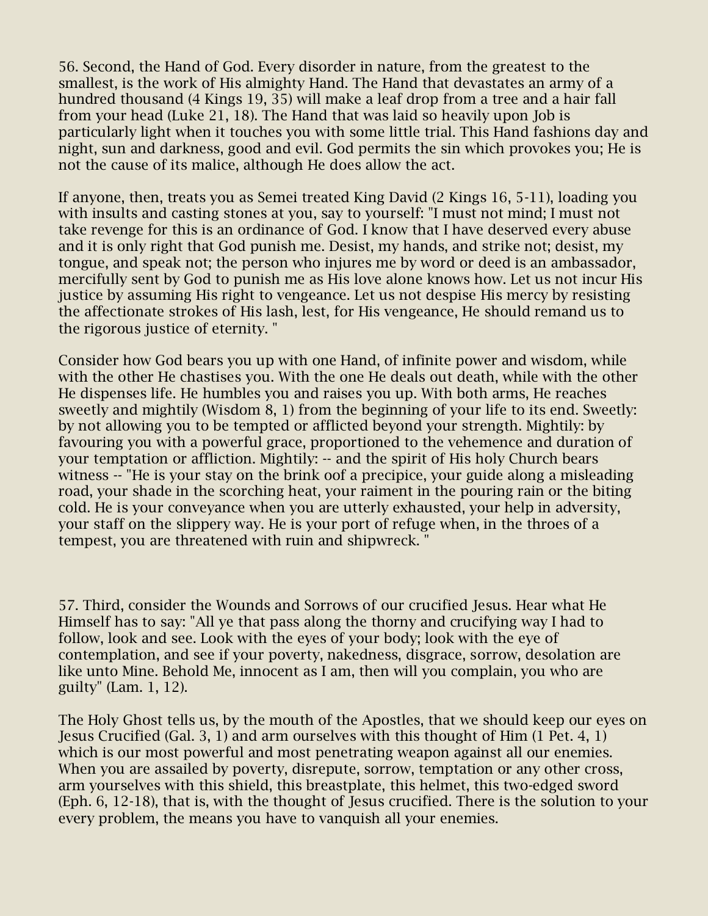56. Second, the Hand of God. Every disorder in nature, from the greatest to the smallest, is the work of His almighty Hand. The Hand that devastates an army of a hundred thousand (4 Kings 19, 35) will make a leaf drop from a tree and a hair fall from your head (Luke 21, 18). The Hand that was laid so heavily upon Job is particularly light when it touches you with some little trial. This Hand fashions day and night, sun and darkness, good and evil. God permits the sin which provokes you; He is not the cause of its malice, although He does allow the act.

If anyone, then, treats you as Semei treated King David (2 Kings 16, 5-11), loading you with insults and casting stones at you, say to yourself: "I must not mind; I must not take revenge for this is an ordinance of God. I know that I have deserved every abuse and it is only right that God punish me. Desist, my hands, and strike not; desist, my tongue, and speak not; the person who injures me by word or deed is an ambassador, mercifully sent by God to punish me as His love alone knows how. Let us not incur His justice by assuming His right to vengeance. Let us not despise His mercy by resisting the affectionate strokes of His lash, lest, for His vengeance, He should remand us to the rigorous justice of eternity. "

Consider how God bears you up with one Hand, of infinite power and wisdom, while with the other He chastises you. With the one He deals out death, while with the other He dispenses life. He humbles you and raises you up. With both arms, He reaches sweetly and mightily (Wisdom 8, 1) from the beginning of your life to its end. Sweetly: by not allowing you to be tempted or afflicted beyond your strength. Mightily: by favouring you with a powerful grace, proportioned to the vehemence and duration of your temptation or affliction. Mightily: -- and the spirit of His holy Church bears witness -- "He is your stay on the brink oof a precipice, your guide along a misleading road, your shade in the scorching heat, your raiment in the pouring rain or the biting cold. He is your conveyance when you are utterly exhausted, your help in adversity, your staff on the slippery way. He is your port of refuge when, in the throes of a tempest, you are threatened with ruin and shipwreck. "

57. Third, consider the Wounds and Sorrows of our crucified Jesus. Hear what He Himself has to say: "All ye that pass along the thorny and crucifying way I had to follow, look and see. Look with the eyes of your body; look with the eye of contemplation, and see if your poverty, nakedness, disgrace, sorrow, desolation are like unto Mine. Behold Me, innocent as I am, then will you complain, you who are guilty" (Lam. 1, 12).

The Holy Ghost tells us, by the mouth of the Apostles, that we should keep our eyes on Jesus Crucified (Gal. 3, 1) and arm ourselves with this thought of Him (1 Pet. 4, 1) which is our most powerful and most penetrating weapon against all our enemies. When you are assailed by poverty, disrepute, sorrow, temptation or any other cross, arm yourselves with this shield, this breastplate, this helmet, this two-edged sword (Eph. 6, 12-18), that is, with the thought of Jesus crucified. There is the solution to your every problem, the means you have to vanquish all your enemies.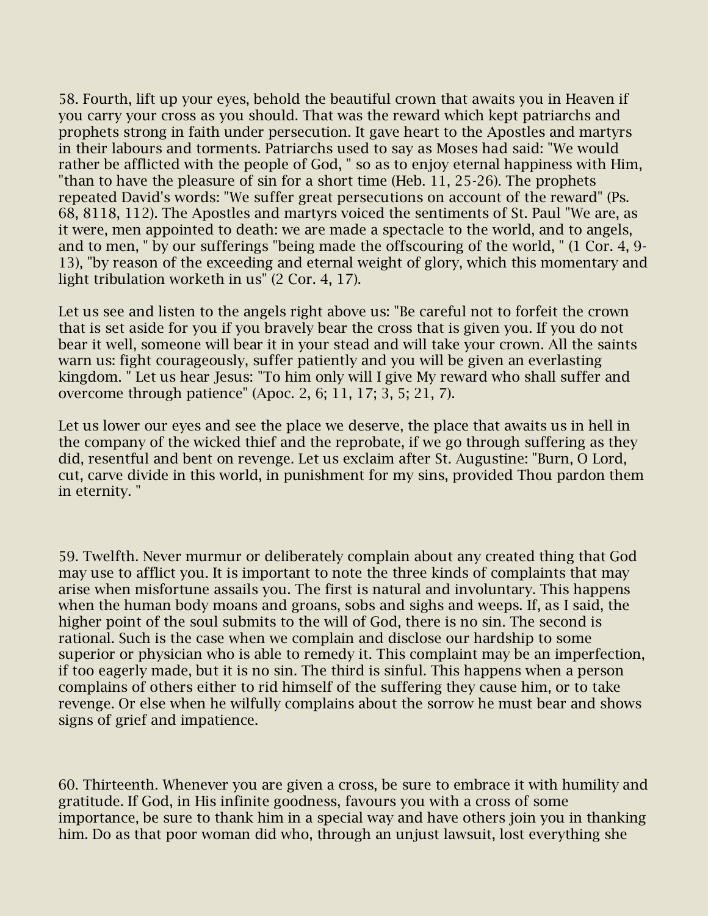58. Fourth, lift up your eyes, behold the beautiful crown that awaits you in Heaven if you carry your cross as you should. That was the reward which kept patriarchs and prophets strong in faith under persecution. It gave heart to the Apostles and martyrs in their labours and torments. Patriarchs used to say as Moses had said: "We would rather be afflicted with the people of God, " so as to enjoy eternal happiness with Him, "than to have the pleasure of sin for a short time (Heb. 11, 25-26). The prophets repeated David's words: "We suffer great persecutions on account of the reward" (Ps. 68, 8118, 112). The Apostles and martyrs voiced the sentiments of St. Paul "We are, as it were, men appointed to death: we are made a spectacle to the world, and to angels, and to men, " by our sufferings "being made the offscouring of the world, " (1 Cor. 4, 9- 13), "by reason of the exceeding and eternal weight of glory, which this momentary and light tribulation worketh in us" (2 Cor. 4, 17).

Let us see and listen to the angels right above us: "Be careful not to forfeit the crown that is set aside for you if you bravely bear the cross that is given you. If you do not bear it well, someone will bear it in your stead and will take your crown. All the saints warn us: fight courageously, suffer patiently and you will be given an everlasting kingdom. " Let us hear Jesus: "To him only will I give My reward who shall suffer and overcome through patience" (Apoc. 2, 6; 11, 17; 3, 5; 21, 7).

Let us lower our eyes and see the place we deserve, the place that awaits us in hell in the company of the wicked thief and the reprobate, if we go through suffering as they did, resentful and bent on revenge. Let us exclaim after St. Augustine: "Burn, O Lord, cut, carve divide in this world, in punishment for my sins, provided Thou pardon them in eternity. "

59. Twelfth. Never murmur or deliberately complain about any created thing that God may use to afflict you. It is important to note the three kinds of complaints that may arise when misfortune assails you. The first is natural and involuntary. This happens when the human body moans and groans, sobs and sighs and weeps. If, as I said, the higher point of the soul submits to the will of God, there is no sin. The second is rational. Such is the case when we complain and disclose our hardship to some superior or physician who is able to remedy it. This complaint may be an imperfection, if too eagerly made, but it is no sin. The third is sinful. This happens when a person complains of others either to rid himself of the suffering they cause him, or to take revenge. Or else when he wilfully complains about the sorrow he must bear and shows signs of grief and impatience.

60. Thirteenth. Whenever you are given a cross, be sure to embrace it with humility and gratitude. If God, in His infinite goodness, favours you with a cross of some importance, be sure to thank him in a special way and have others join you in thanking him. Do as that poor woman did who, through an unjust lawsuit, lost everything she